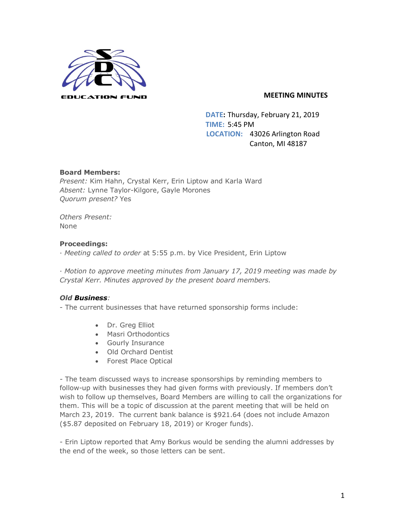

## **MEETING MINUTES**

 **DATE:** Thursday, February 21, 2019 **TIME:** 5:45 PM  **LOCATION:** 43026 Arlington Road Canton, MI 48187

# **Board Members:**

*Present:* Kim Hahn, Crystal Kerr, Erin Liptow and Karla Ward *Absent:* Lynne Taylor-Kilgore, Gayle Morones *Quorum present?* Yes

*Others Present:* None

# **Proceedings:**

· *Meeting called to order* at 5:55 p.m. by Vice President, Erin Liptow

· *Motion to approve meeting minutes from January 17, 2019 meeting was made by Crystal Kerr. Minutes approved by the present board members.* 

# *Old Business:*

- The current businesses that have returned sponsorship forms include:

- Dr. Greg Elliot
- Masri Orthodontics
- Gourly Insurance
- Old Orchard Dentist
- Forest Place Optical

*-* The team discussed ways to increase sponsorships by reminding members to follow-up with businesses they had given forms with previously. If members don't wish to follow up themselves, Board Members are willing to call the organizations for them. This will be a topic of discussion at the parent meeting that will be held on March 23, 2019. The current bank balance is \$921.64 (does not include Amazon (\$5.87 deposited on February 18, 2019) or Kroger funds).

- Erin Liptow reported that Amy Borkus would be sending the alumni addresses by the end of the week, so those letters can be sent.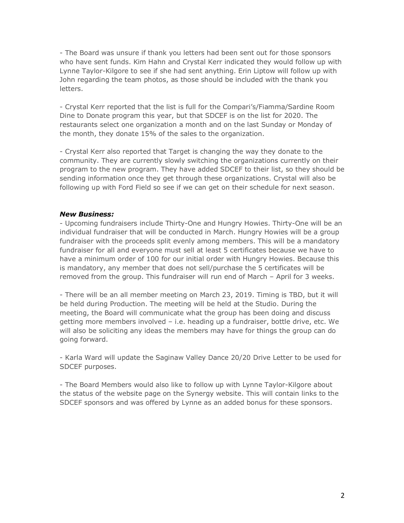- The Board was unsure if thank you letters had been sent out for those sponsors who have sent funds. Kim Hahn and Crystal Kerr indicated they would follow up with Lynne Taylor-Kilgore to see if she had sent anything. Erin Liptow will follow up with John regarding the team photos, as those should be included with the thank you letters.

- Crystal Kerr reported that the list is full for the Compari's/Fiamma/Sardine Room Dine to Donate program this year, but that SDCEF is on the list for 2020. The restaurants select one organization a month and on the last Sunday or Monday of the month, they donate 15% of the sales to the organization.

- Crystal Kerr also reported that Target is changing the way they donate to the community. They are currently slowly switching the organizations currently on their program to the new program. They have added SDCEF to their list, so they should be sending information once they get through these organizations. Crystal will also be following up with Ford Field so see if we can get on their schedule for next season.

#### *New Business:*

- Upcoming fundraisers include Thirty-One and Hungry Howies. Thirty-One will be an individual fundraiser that will be conducted in March. Hungry Howies will be a group fundraiser with the proceeds split evenly among members. This will be a mandatory fundraiser for all and everyone must sell at least 5 certificates because we have to have a minimum order of 100 for our initial order with Hungry Howies. Because this is mandatory, any member that does not sell/purchase the 5 certificates will be removed from the group. This fundraiser will run end of March – April for 3 weeks.

- There will be an all member meeting on March 23, 2019. Timing is TBD, but it will be held during Production. The meeting will be held at the Studio. During the meeting, the Board will communicate what the group has been doing and discuss getting more members involved – i.e. heading up a fundraiser, bottle drive, etc. We will also be soliciting any ideas the members may have for things the group can do going forward.

- Karla Ward will update the Saginaw Valley Dance 20/20 Drive Letter to be used for SDCEF purposes.

- The Board Members would also like to follow up with Lynne Taylor-Kilgore about the status of the website page on the Synergy website. This will contain links to the SDCEF sponsors and was offered by Lynne as an added bonus for these sponsors.